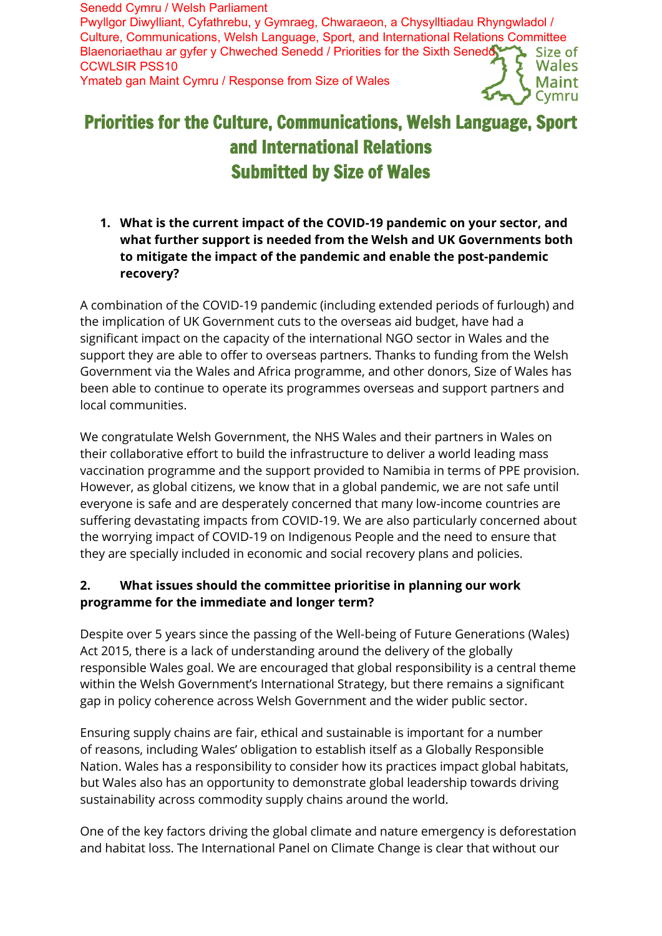Senedd Cymru / Welsh Parliament Pwyllgor Diwylliant, Cyfathrebu, y Gymraeg, Chwaraeon, a Chysylltiadau Rhyngwladol / Culture, Communications, Welsh Language, Sport, and International Relations Committee Blaenoriaethau ar gyfer y Chweched Senedd / Priorities for the Sixth Senedd Size of CCWLSIR PSS10 Wales Ymateb gan Maint Cymru / Response from Size of Wales

# Priorities for the Culture, Communications, Welsh Language, Sport and International Relations Submitted by Size of Wales

**1. What is the current impact of the COVID-19 pandemic on your sector, and what further support is needed from the Welsh and UK Governments both to mitigate the impact of the pandemic and enable the post-pandemic recovery?**

A combination of the COVID-19 pandemic (including extended periods of furlough) and the implication of UK Government cuts to the overseas aid budget, have had a significant impact on the capacity of the international NGO sector in Wales and the support they are able to offer to overseas partners. Thanks to funding from the Welsh Government via the Wales and Africa programme, and other donors, Size of Wales has been able to continue to operate its programmes overseas and support partners and local communities.

We congratulate Welsh Government, the NHS Wales and their partners in Wales on their collaborative effort to build the infrastructure to deliver a world leading mass vaccination programme and the support provided to Namibia in terms of PPE provision. However, as global citizens, we know that in a global pandemic, we are not safe until everyone is safe and are desperately concerned that many low-income countries are suffering devastating impacts from COVID-19. We are also particularly concerned about the worrying impact of COVID-19 on Indigenous People and the need to ensure that they are specially included in economic and social recovery plans and policies.

### **2. What issues should the committee prioritise in planning our work programme for the immediate and longer term?**

Despite over 5 years since the passing of the Well-being of Future Generations (Wales) Act 2015, there is a lack of understanding around the delivery of the globally responsible Wales goal. We are encouraged that global responsibility is a central theme within the Welsh Government's International Strategy, but there remains a significant gap in policy coherence across Welsh Government and the wider public sector.

Ensuring supply chains are fair, ethical and sustainable is important for a number of reasons, including Wales' obligation to establish itself as a Globally Responsible Nation. Wales has a responsibility to consider how its practices impact global habitats, but Wales also has an opportunity to demonstrate global leadership towards driving sustainability across commodity supply chains around the world.

One of the key factors driving the global climate and nature emergency is deforestation and habitat loss. The International Panel on Climate Change is clear that without our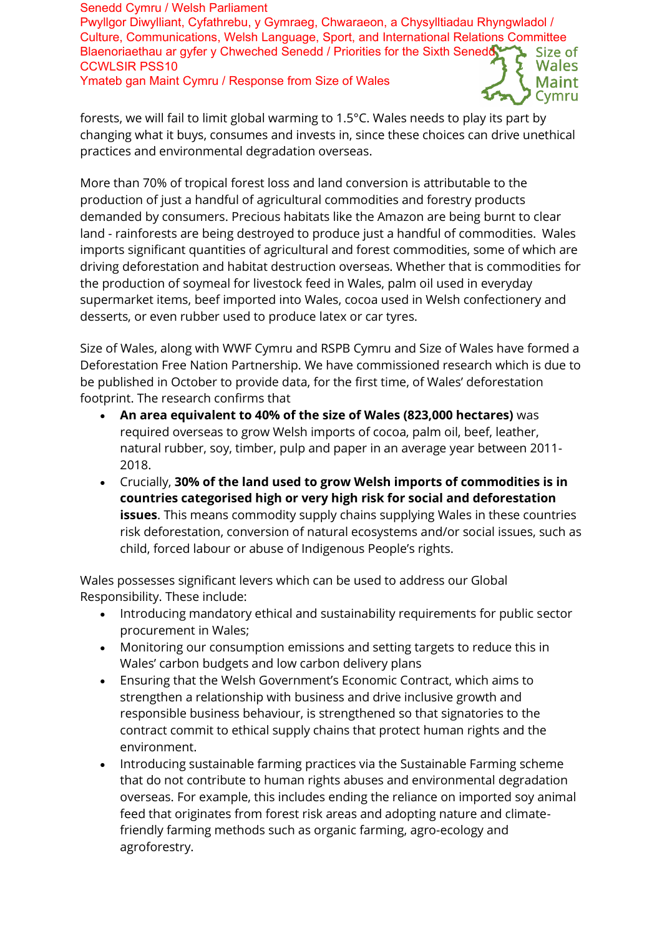Senedd Cymru / Welsh Parliament Pwyllgor Diwylliant, Cyfathrebu, y Gymraeg, Chwaraeon, a Chysylltiadau Rhyngwladol / Culture, Communications, Welsh Language, Sport, and International Relations Committee Blaenoriaethau ar gyfer y Chweched Senedd / Priorities for the Sixth Senedd Size of CCWLSIR PSS10 Wales Ymateb gan Maint Cymru / Response from Size of WalesMaint

forests, we will fail to limit global warming to 1.5°C. Wales needs to play its part by changing what it buys, consumes and invests in, since these choices can drive unethical practices and environmental degradation overseas.

More than 70% of tropical forest loss and land conversion is attributable to the production of just a handful of agricultural commodities and forestry products demanded by consumers. Precious habitats like the Amazon are being burnt to clear land - rainforests are being destroyed to produce just a handful of commodities. Wales imports significant quantities of agricultural and forest commodities, some of which are driving deforestation and habitat destruction overseas. Whether that is commodities for the production of soymeal for livestock feed in Wales, palm oil used in everyday supermarket items, beef imported into Wales, cocoa used in Welsh confectionery and desserts, or even rubber used to produce latex or car tyres.

Size of Wales, along with WWF Cymru and RSPB Cymru and Size of Wales have formed a Deforestation Free Nation Partnership. We have commissioned research which is due to be published in October to provide data, for the first time, of Wales' deforestation footprint. The research confirms that

- **An area equivalent to 40% of the size of Wales (823,000 hectares)** was required overseas to grow Welsh imports of cocoa, palm oil, beef, leather, natural rubber, soy, timber, pulp and paper in an average year between 2011- 2018.
- Crucially, **30% of the land used to grow Welsh imports of commodities is in countries categorised high or very high risk for social and deforestation issues**. This means commodity supply chains supplying Wales in these countries risk deforestation, conversion of natural ecosystems and/or social issues, such as child, forced labour or abuse of Indigenous People's rights.

Wales possesses significant levers which can be used to address our Global Responsibility. These include:

- Introducing mandatory ethical and sustainability requirements for public sector procurement in Wales;
- Monitoring our consumption emissions and setting targets to reduce this in Wales' carbon budgets and low carbon delivery plans
- Ensuring that the Welsh Government's Economic Contract, which aims to strengthen a relationship with business and drive inclusive growth and responsible business behaviour, is strengthened so that signatories to the contract commit to ethical supply chains that protect human rights and the environment.
- Introducing sustainable farming practices via the Sustainable Farming scheme that do not contribute to human rights abuses and environmental degradation overseas. For example, this includes ending the reliance on imported soy animal feed that originates from forest risk areas and adopting nature and climatefriendly farming methods such as organic farming, agro-ecology and agroforestry.